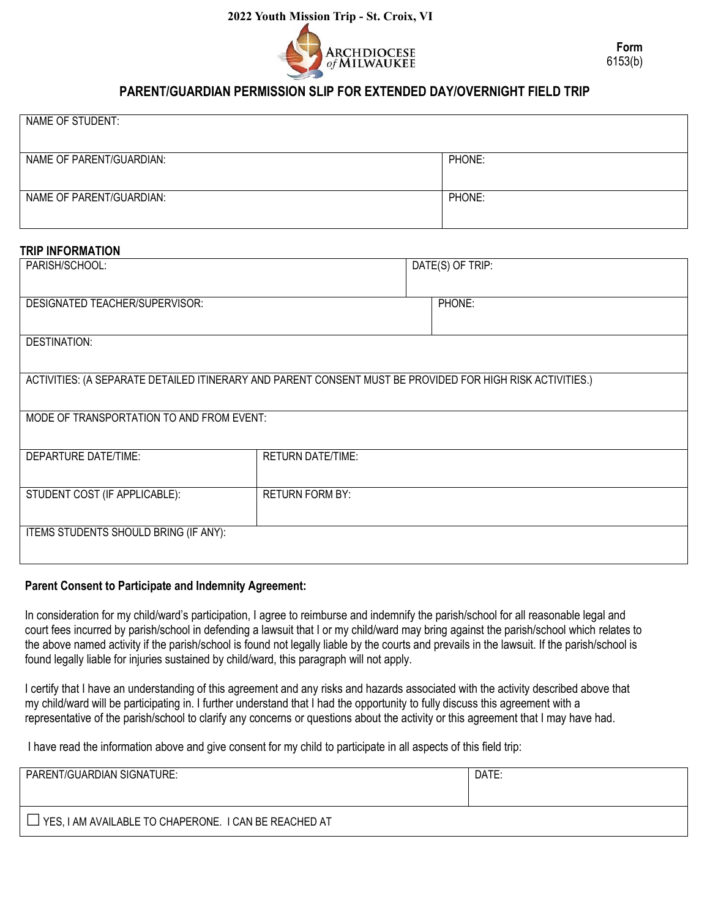

# **PARENT/GUARDIAN PERMISSION SLIP FOR EXTENDED DAY/OVERNIGHT FIELD TRIP**

| NAME OF STUDENT:         |        |
|--------------------------|--------|
|                          |        |
|                          |        |
|                          |        |
|                          |        |
|                          |        |
| NAME OF PARENT/GUARDIAN: | PHONE: |
|                          |        |
|                          |        |
|                          |        |
|                          |        |
|                          |        |
| NAME OF PARENT/GUARDIAN: | PHONE: |
|                          |        |
|                          |        |
|                          |        |

## **TRIP INFORMATION**

| 2022 Youth Mission Trip - St. Croix, VI                                                                   |  |  |                  |  |
|-----------------------------------------------------------------------------------------------------------|--|--|------------------|--|
| <b>ARCHDIOCESE</b><br>of MILWAUKEE                                                                        |  |  | Form<br>6153(b)  |  |
| PARENT/GUARDIAN PERMISSION SLIP FOR EXTENDED DAY/OVERNIGHT FIELD TRIP                                     |  |  |                  |  |
| NAME OF STUDENT:                                                                                          |  |  |                  |  |
| NAME OF PARENT/GUARDIAN:                                                                                  |  |  | PHONE:           |  |
| NAME OF PARENT/GUARDIAN:                                                                                  |  |  | PHONE:           |  |
| <b>TRIP INFORMATION</b>                                                                                   |  |  |                  |  |
| PARISH/SCHOOL:                                                                                            |  |  | DATE(S) OF TRIP: |  |
| St. John XXIII<br>June 11-18, 2022                                                                        |  |  |                  |  |
| <b>DESIGNATED TEACHER/SUPERVISOR:</b><br>PHONE:                                                           |  |  |                  |  |
| 262-284-2102<br>Maureen Rotramel and other adults whom she designates                                     |  |  |                  |  |
| <b>DESTINATION:</b>                                                                                       |  |  |                  |  |
| Catholic Heart Work Camp, St. Croix, Virgin Islands                                                       |  |  |                  |  |
| ACTIVITIES: (A SEPARATE DETAILED ITINERARY AND PARENT CONSENT MUST BE PROVIDED FOR HIGH RISK ACTIVITIES.) |  |  |                  |  |
| Catholic Heart Work Camp service and other related events                                                 |  |  |                  |  |
| MODE OF TRANSPORTATION TO AND FROM EVENT:                                                                 |  |  |                  |  |
| Delta Airlines/bus (see detailed itinerary)                                                               |  |  |                  |  |
| <b>DEPARTURE DATE/TIME:</b><br><b>RETURN DATE/TIME:</b>                                                   |  |  |                  |  |
| June 11, 2022 depart Mitchell Internat June 18, 2022 return to Mitchell International                     |  |  |                  |  |
| <b>RETURN FORM BY:</b><br>STUDENT COST (IF APPLICABLE):                                                   |  |  |                  |  |
| \$1800<br>May 1, 2022                                                                                     |  |  |                  |  |
| ITEMS STUDENTS SHOULD BRING (IF ANY):                                                                     |  |  |                  |  |
| See Packing list                                                                                          |  |  |                  |  |
|                                                                                                           |  |  |                  |  |

### **Parent Consent to Participate and Indemnity Agreement:**

In consideration for my child/ward's participation, I agree to reimburse and indemnify the parish/school for all reasonable legal and court fees incurred by parish/school in defending a lawsuit that I or my child/ward may bring against the parish/school which relates to the above named activity if the parish/school is found not legally liable by the courts and prevails in the lawsuit. If the parish/school is found legally liable for injuries sustained by child/ward, this paragraph will not apply.

I certify that I have an understanding of this agreement and any risks and hazards associated with the activity described above that my child/ward will be participating in. I further understand that I had the opportunity to fully discuss this agreement with a representative of the parish/school to clarify any concerns or questions about the activity or this agreement that I may have had.

I have read the information above and give consent for my child to participate in all aspects of this field trip:

| PARENT/GUARDIAN SIGNATURE:                               | DATE: |
|----------------------------------------------------------|-------|
| LI YES, I AM AVAILABLE TO CHAPERONE. I CAN BE REACHED AT |       |